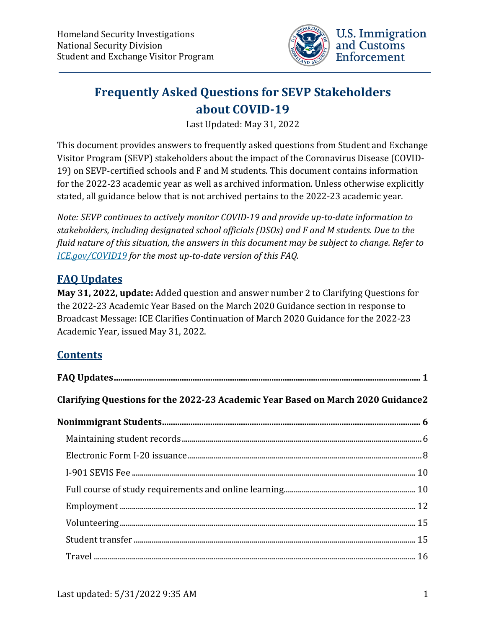

# **Frequently Asked Questions for SEVP Stakeholders about COVID-19**

Last Updated: May 31, 2022

This document provides answers to frequently asked questions from Student and Exchange Visitor Program (SEVP) stakeholders about the impact of the Coronavirus Disease (COVID-19) on SEVP-certified schools and F and M students. This document contains information for the 2022-23 academic year as well as archived information. Unless otherwise explicitly stated, all guidance below that is not archived pertains to the 2022-23 academic year.

*Note: SEVP continues to actively monitor COVID-19 and provide up-to-date information to stakeholders, including designated school officials (DSOs) and F and M students. Due to the fluid nature of this situation, the answers in this document may be subject to change. Refer to [ICE.gov/COVID19](https://www.ice.gov/covid19) for the most up-to-date version of this FAQ.*

# <span id="page-0-0"></span>**FAQ Updates**

**May 31, 2022, update:** Added question and answer number 2 to Clarifying Questions for the 2022-23 Academic Year Based on the March 2020 Guidance section in response to Broadcast Message: ICE Clarifies Continuation of March 2020 Guidance for the 2022-23 Academic Year, issued May 31, 2022.

# **Contents**

| Clarifying Questions for the 2022-23 Academic Year Based on March 2020 Guidance2 |  |  |
|----------------------------------------------------------------------------------|--|--|
|                                                                                  |  |  |
|                                                                                  |  |  |
|                                                                                  |  |  |
|                                                                                  |  |  |
|                                                                                  |  |  |
|                                                                                  |  |  |
|                                                                                  |  |  |
|                                                                                  |  |  |
|                                                                                  |  |  |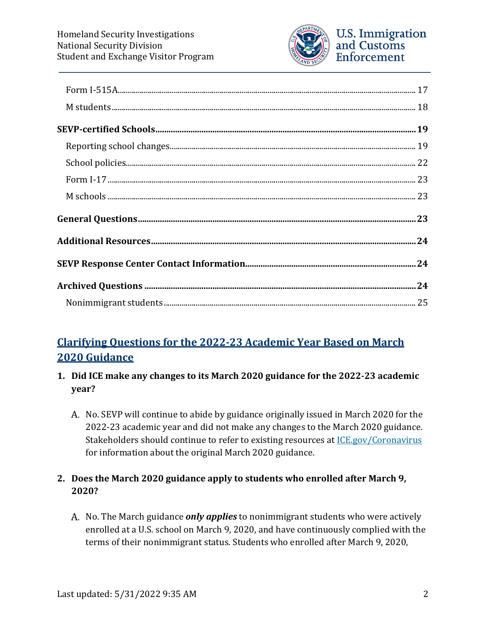

# <span id="page-1-0"></span>**Clarifying Questions for the 2022-23 Academic Year Based on March 2020 Guidance**

- **1. Did ICE make any changes to its March 2020 guidance for the 2022-23 academic year?**
	- A. No. SEVP will continue to abide by guidance originally issued in March 2020 for the 2022-23 academic year and did not make any changes to the March 2020 guidance. Stakeholders should continue to refer to existing resources at **ICE.gov/Coronavirus** for information about the original March 2020 guidance.

#### **2. Does the March 2020 guidance apply to students who enrolled after March 9, 2020?**

A. No. The March guidance *only applies* to nonimmigrant students who were actively enrolled at a U.S. school on March 9, 2020, and have continuously complied with the terms of their nonimmigrant status. Students who enrolled after March 9, 2020,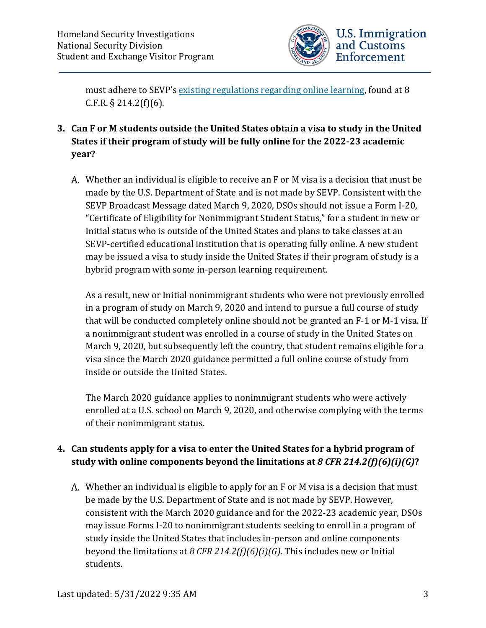

must adhere to SEVP's [existing regulations regarding online learning,](https://studyinthestates.dhs.gov/students/study/full-course-of-study) found at 8 C.F.R.  $\S$  214.2(f)(6).

- **3. Can F or M students outside the United States obtain a visa to study in the United States if their program of study will be fully online for the 2022-23 academic year?**
	- Whether an individual is eligible to receive an F or M visa is a decision that must be made by the U.S. Department of State and is not made by SEVP. Consistent with the SEVP Broadcast Message dated March 9, 2020, DSOs should not issue a Form I-20, "Certificate of Eligibility for Nonimmigrant Student Status," for a student in new or Initial status who is outside of the United States and plans to take classes at an SEVP-certified educational institution that is operating fully online. A new student may be issued a visa to study inside the United States if their program of study is a hybrid program with some in-person learning requirement.

As a result, new or Initial nonimmigrant students who were not previously enrolled in a program of study on March 9, 2020 and intend to pursue a full course of study that will be conducted completely online should not be granted an F-1 or M-1 visa. If a nonimmigrant student was enrolled in a course of study in the United States on March 9, 2020, but subsequently left the country, that student remains eligible for a visa since the March 2020 guidance permitted a full online course of study from inside or outside the United States.

The March 2020 guidance applies to nonimmigrant students who were actively enrolled at a U.S. school on March 9, 2020, and otherwise complying with the terms of their nonimmigrant status.

#### **4. Can students apply for a visa to enter the United States for a hybrid program of study with online components beyond the limitations at** *8 CFR 214.2(f)(6)(i)(G)***?**

Whether an individual is eligible to apply for an F or M visa is a decision that must be made by the U.S. Department of State and is not made by SEVP. However, consistent with the March 2020 guidance and for the 2022-23 academic year, DSOs may issue Forms I-20 to nonimmigrant students seeking to enroll in a program of study inside the United States that includes in-person and online components beyond the limitations at *8 CFR 214.2(f)(6)(i)(G)*. This includes new or Initial students.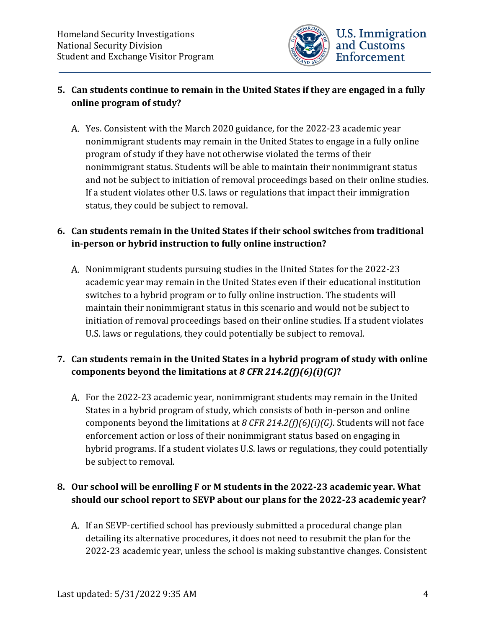

#### **5. Can students continue to remain in the United States if they are engaged in a fully online program of study?**

Yes. Consistent with the March 2020 guidance, for the 2022-23 academic year nonimmigrant students may remain in the United States to engage in a fully online program of study if they have not otherwise violated the terms of their nonimmigrant status. Students will be able to maintain their nonimmigrant status and not be subject to initiation of removal proceedings based on their online studies. If a student violates other U.S. laws or regulations that impact their immigration status, they could be subject to removal.

#### **6. Can students remain in the United States if their school switches from traditional in-person or hybrid instruction to fully online instruction?**

A. Nonimmigrant students pursuing studies in the United States for the 2022-23 academic year may remain in the United States even if their educational institution switches to a hybrid program or to fully online instruction. The students will maintain their nonimmigrant status in this scenario and would not be subject to initiation of removal proceedings based on their online studies. If a student violates U.S. laws or regulations, they could potentially be subject to removal.

# **7. Can students remain in the United States in a hybrid program of study with online components beyond the limitations at** *8 CFR 214.2(f)(6)(i)(G)***?**

For the 2022-23 academic year, nonimmigrant students may remain in the United States in a hybrid program of study, which consists of both in-person and online components beyond the limitations at *8 CFR 214.2(f)(6)(i)(G)*. Students will not face enforcement action or loss of their nonimmigrant status based on engaging in hybrid programs. If a student violates U.S. laws or regulations, they could potentially be subject to removal.

#### **8. Our school will be enrolling F or M students in the 2022-23 academic year. What should our school report to SEVP about our plans for the 2022-23 academic year?**

A. If an SEVP-certified school has previously submitted a procedural change plan detailing its alternative procedures, it does not need to resubmit the plan for the 2022-23 academic year, unless the school is making substantive changes. Consistent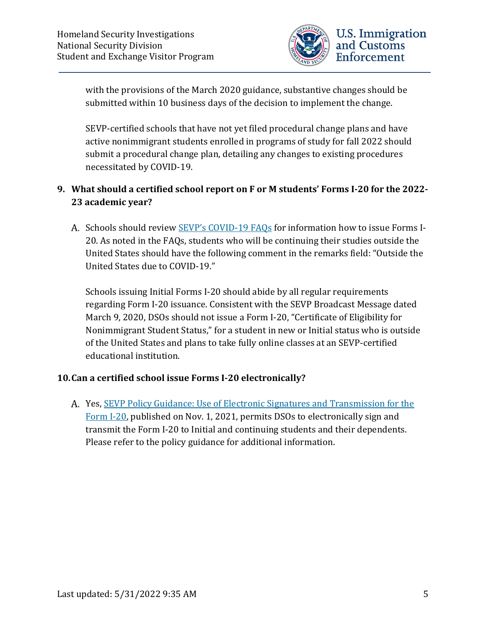

with the provisions of the March 2020 guidance, substantive changes should be submitted within 10 business days of the decision to implement the change.

SEVP-certified schools that have not yet filed procedural change plans and have active nonimmigrant students enrolled in programs of study for fall 2022 should submit a procedural change plan, detailing any changes to existing procedures necessitated by COVID-19.

#### **9. What should a certified school report on F or M students' Forms I-20 for the 2022- 23 academic year?**

A. Schools should review [SEVP's COVID-19 FAQs](https://www.ice.gov/doclib/coronavirus/covid19faq.pdf) for information how to issue Forms I-20. As noted in the FAQs, students who will be continuing their studies outside the United States should have the following comment in the remarks field: "Outside the United States due to COVID-19."

Schools issuing Initial Forms I-20 should abide by all regular requirements regarding Form I-20 issuance. Consistent with the SEVP Broadcast Message dated March 9, 2020, DSOs should not issue a Form I-20, "Certificate of Eligibility for Nonimmigrant Student Status," for a student in new or Initial status who is outside of the United States and plans to take fully online classes at an SEVP-certified educational institution.

#### **10.Can a certified school issue Forms I-20 electronically?**

A. Yes, SEVP Policy Guidance: Use of Electronic Signatures and Transmission for the [Form I-20,](https://www.ice.gov/doclib/sevis/pdf/I20-guidance.pdf) published on Nov. 1, 2021, permits DSOs to electronically sign and transmit the Form I-20 to Initial and continuing students and their dependents. Please refer to the policy guidance for additional information.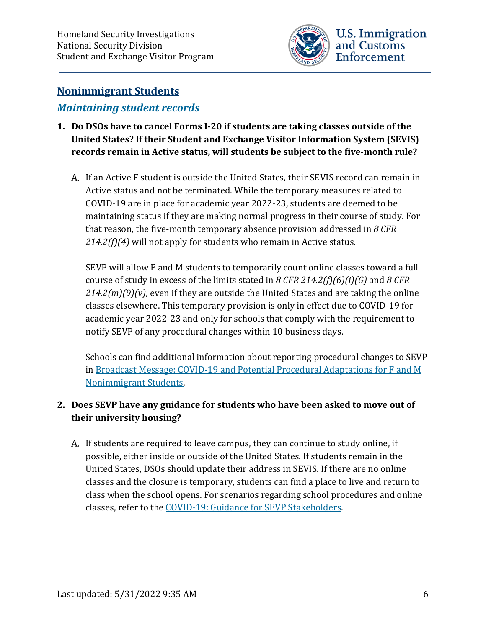

# <span id="page-5-0"></span>**Nonimmigrant Students**

# <span id="page-5-1"></span>*Maintaining student records*

- **1. Do DSOs have to cancel Forms I-20 if students are taking classes outside of the United States? If their Student and Exchange Visitor Information System (SEVIS) records remain in Active status, will students be subject to the five-month rule?**
	- A. If an Active F student is outside the United States, their SEVIS record can remain in Active status and not be terminated. While the temporary measures related to COVID-19 are in place for academic year 2022-23, students are deemed to be maintaining status if they are making normal progress in their course of study. For that reason, the five-month temporary absence provision addressed in *8 CFR 214.2(f)(4)* will not apply for students who remain in Active status.

SEVP will allow F and M students to temporarily count online classes toward a full course of study in excess of the limits stated in *8 CFR 214.2(f)(6)(i)(G)* and *8 CFR 214.2(m)(9)(v)*, even if they are outside the United States and are taking the online classes elsewhere. This temporary provision is only in effect due to COVID-19 for academic year 2022-23 and only for schools that comply with the requirement to notify SEVP of any procedural changes within 10 business days.

Schools can find additional information about reporting procedural changes to SEVP in Broadcast Message: COVID-19 [and Potential Procedural Adaptations for F and M](https://www.ice.gov/sites/default/files/documents/Document/2020/Coronavirus%20Guidance_3.13.20.pdf)  [Nonimmigrant Students.](https://www.ice.gov/sites/default/files/documents/Document/2020/Coronavirus%20Guidance_3.13.20.pdf)

# **2. Does SEVP have any guidance for students who have been asked to move out of their university housing?**

A. If students are required to leave campus, they can continue to study online, if possible, either inside or outside of the United States. If students remain in the United States, DSOs should update their address in SEVIS. If there are no online classes and the closure is temporary, students can find a place to live and return to class when the school opens. For scenarios regarding school procedures and online classes, refer to the [COVID-19: Guidance for SEVP Stakeholders.](https://www.ice.gov/sites/default/files/documents/Document/2020/Coronavirus%20Guidance_3.13.20.pdf)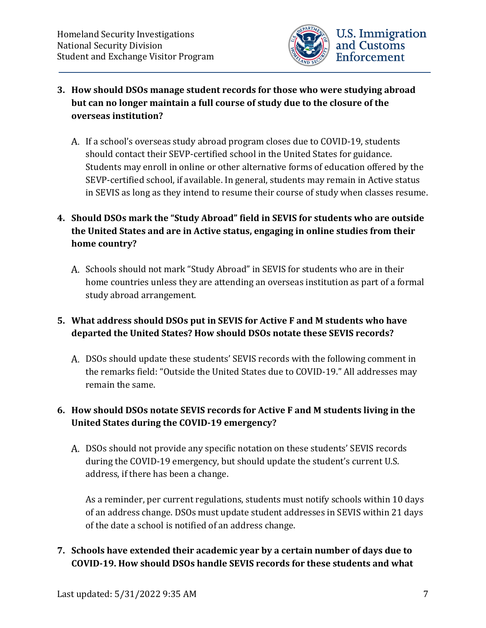

- **3. How should DSOs manage student records for those who were studying abroad but can no longer maintain a full course of study due to the closure of the overseas institution?**
	- A. If a school's overseas study abroad program closes due to COVID-19, students should contact their SEVP-certified school in the United States for guidance. Students may enroll in online or other alternative forms of education offered by the SEVP-certified school, if available. In general, students may remain in Active status in SEVIS as long as they intend to resume their course of study when classes resume.

# **4. Should DSOs mark the "Study Abroad" field in SEVIS for students who are outside the United States and are in Active status, engaging in online studies from their home country?**

A. Schools should not mark "Study Abroad" in SEVIS for students who are in their home countries unless they are attending an overseas institution as part of a formal study abroad arrangement.

# **5. What address should DSOs put in SEVIS for Active F and M students who have departed the United States? How should DSOs notate these SEVIS records?**

DSOs should update these students' SEVIS records with the following comment in the remarks field: "Outside the United States due to COVID-19." All addresses may remain the same.

# **6. How should DSOs notate SEVIS records for Active F and M students living in the United States during the COVID-19 emergency?**

DSOs should not provide any specific notation on these students' SEVIS records during the COVID-19 emergency, but should update the student's current U.S. address, if there has been a change.

As a reminder, per current regulations, students must notify schools within 10 days of an address change. DSOs must update student addresses in SEVIS within 21 days of the date a school is notified of an address change.

#### **7. Schools have extended their academic year by a certain number of days due to COVID-19. How should DSOs handle SEVIS records for these students and what**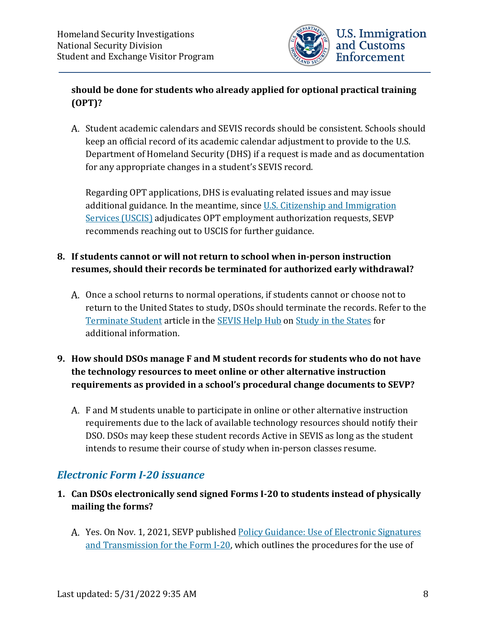

#### **should be done for students who already applied for optional practical training (OPT)?**

A. Student academic calendars and SEVIS records should be consistent. Schools should keep an official record of its academic calendar adjustment to provide to the U.S. Department of Homeland Security (DHS) if a request is made and as documentation for any appropriate changes in a student's SEVIS record.

Regarding OPT applications, DHS is evaluating related issues and may issue additional guidance. In the meantime, since [U.S. Citizenship and Immigration](https://www.uscis.gov/)  [Services \(USCIS\)](https://www.uscis.gov/) adjudicates OPT employment authorization requests, SEVP recommends reaching out to USCIS for further guidance.

#### **8. If students cannot or will not return to school when in-person instruction resumes, should their records be terminated for authorized early withdrawal?**

A. Once a school returns to normal operations, if students cannot or choose not to return to the United States to study, DSOs should terminate the records. Refer to the [Terminate Student](https://studyinthestates.dhs.gov/sevis-help-hub/student-records/completions-and-terminations/terminate-a-student) article in the [SEVIS Help Hub](https://studyinthestates.dhs.gov/sevis-help-hub/) on [Study in the States](https://studyinthestates.dhs.gov/) for additional information.

#### **9. How should DSOs manage F and M student records for students who do not have the technology resources to meet online or other alternative instruction requirements as provided in a school's procedural change documents to SEVP?**

F and M students unable to participate in online or other alternative instruction requirements due to the lack of available technology resources should notify their DSO. DSOs may keep these student records Active in SEVIS as long as the student intends to resume their course of study when in-person classes resume.

# <span id="page-7-0"></span>*Electronic Form I-20 issuance*

- **1. Can DSOs electronically send signed Forms I-20 to students instead of physically mailing the forms?** 
	- A. Yes. On Nov. 1, 2021, SEVP published Policy Guidance: Use of Electronic Signatures [and Transmission for the Form I-20,](https://www.ice.gov/doclib/sevis/pdf/I20-guidance.pdf) which outlines the procedures for the use of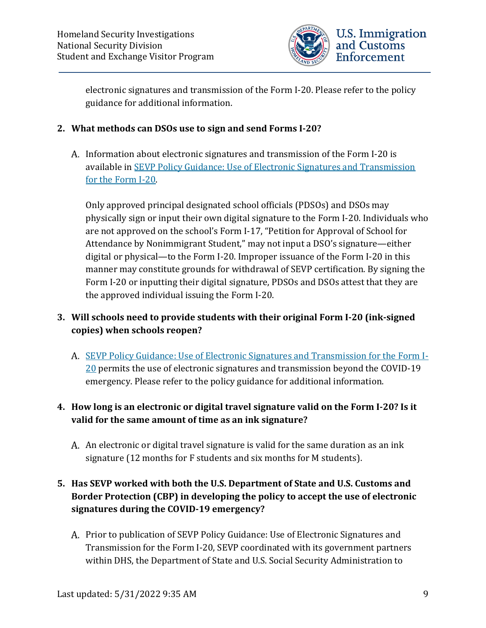

electronic signatures and transmission of the Form I-20. Please refer to the policy guidance for additional information.

#### **2. What methods can DSOs use to sign and send Forms I-20?**

A. Information about electronic signatures and transmission of the Form I-20 is available in [SEVP Policy Guidance: Use of Electronic Signatures and Transmission](https://www.ice.gov/doclib/sevis/pdf/I20-guidance.pdf)  [for the Form I-20.](https://www.ice.gov/doclib/sevis/pdf/I20-guidance.pdf) 

Only approved principal designated school officials (PDSOs) and DSOs may physically sign or input their own digital signature to the Form I-20. Individuals who are not approved on the school's Form I-17, "Petition for Approval of School for Attendance by Nonimmigrant Student," may not input a DSO's signature—either digital or physical—to the Form I-20. Improper issuance of the Form I-20 in this manner may constitute grounds for withdrawal of SEVP certification. By signing the Form I-20 or inputting their digital signature, PDSOs and DSOs attest that they are the approved individual issuing the Form I-20.

#### **3. Will schools need to provide students with their original Form I-20 (ink-signed copies) when schools reopen?**

A. [SEVP Policy Guidance: Use of Electronic Signatures and Transmission for the Form I-](https://www.ice.gov/doclib/sevis/pdf/I20-guidance.pdf)[20](https://www.ice.gov/doclib/sevis/pdf/I20-guidance.pdf) permits the use of electronic signatures and transmission beyond the COVID-19 emergency. Please refer to the policy guidance for additional information.

#### **4. How long is an electronic or digital travel signature valid on the Form I-20? Is it valid for the same amount of time as an ink signature?**

An electronic or digital travel signature is valid for the same duration as an ink signature (12 months for F students and six months for M students).

# **5. Has SEVP worked with both the U.S. Department of State and U.S. Customs and Border Protection (CBP) in developing the policy to accept the use of electronic signatures during the COVID-19 emergency?**

A. Prior to publication of SEVP Policy Guidance: Use of Electronic Signatures and Transmission for the Form I-20, SEVP coordinated with its government partners within DHS, the Department of State and U.S. Social Security Administration to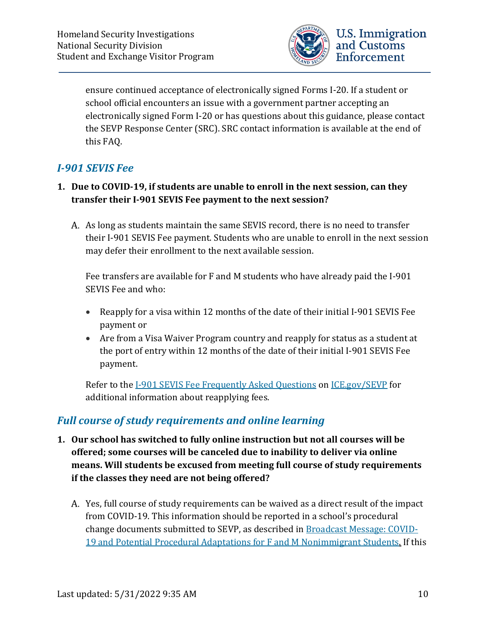

ensure continued acceptance of electronically signed Forms I-20. If a student or school official encounters an issue with a government partner accepting an electronically signed Form I-20 or has questions about this guidance, please contact the SEVP Response Center (SRC). SRC contact information is available at the end of this FAQ.

# <span id="page-9-0"></span>*I-901 SEVIS Fee*

#### **1. Due to COVID-19, if students are unable to enroll in the next session, can they transfer their I-901 SEVIS Fee payment to the next session?**

A. As long as students maintain the same SEVIS record, there is no need to transfer their I-901 SEVIS Fee payment. Students who are unable to enroll in the next session may defer their enrollment to the next available session.

Fee transfers are available for F and M students who have already paid the I-901 SEVIS Fee and who:

- Reapply for a visa within 12 months of the date of their initial I-901 SEVIS Fee payment or
- Are from a Visa Waiver Program country and reapply for status as a student at the port of entry within 12 months of the date of their initial I-901 SEVIS Fee payment.

Refer to the [I-901 SEVIS Fee Frequently Asked Questions](https://www.ice.gov/sevis/i901/faq#_Toc81222150) on [ICE.gov/SEVP](http://www.ice.gov/SEVP) for additional information about reapplying fees.

# <span id="page-9-1"></span>*Full course of study requirements and online learning*

- **1. Our school has switched to fully online instruction but not all courses will be offered; some courses will be canceled due to inability to deliver via online means. Will students be excused from meeting full course of study requirements if the classes they need are not being offered?**
	- Yes, full course of study requirements can be waived as a direct result of the impact from COVID-19. This information should be reported in a school's procedural change documents submitted to SEVP, as described i[n Broadcast Message: COVID-](https://www.ice.gov/sites/default/files/documents/Document/2020/Coronavirus%20Guidance_3.13.20.pdf)[19 and Potential Procedural Adaptations for F and M Nonimmigrant Students.](https://www.ice.gov/sites/default/files/documents/Document/2020/Coronavirus%20Guidance_3.13.20.pdf) If this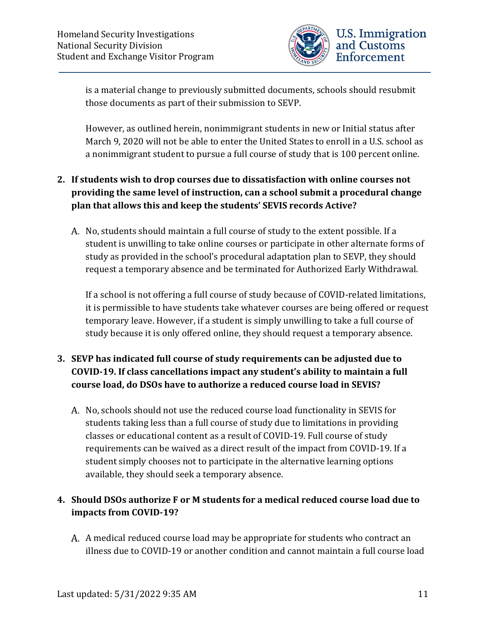

is a material change to previously submitted documents, schools should resubmit those documents as part of their submission to SEVP.

However, as outlined herein, nonimmigrant students in new or Initial status after March 9, 2020 will not be able to enter the United States to enroll in a U.S. school as a nonimmigrant student to pursue a full course of study that is 100 percent online.

## **2. If students wish to drop courses due to dissatisfaction with online courses not providing the same level of instruction, can a school submit a procedural change plan that allows this and keep the students' SEVIS records Active?**

A. No, students should maintain a full course of study to the extent possible. If a student is unwilling to take online courses or participate in other alternate forms of study as provided in the school's procedural adaptation plan to SEVP, they should request a temporary absence and be terminated for Authorized Early Withdrawal.

If a school is not offering a full course of study because of COVID-related limitations, it is permissible to have students take whatever courses are being offered or request temporary leave. However, if a student is simply unwilling to take a full course of study because it is only offered online, they should request a temporary absence.

# **3. SEVP has indicated full course of study requirements can be adjusted due to COVID-19. If class cancellations impact any student's ability to maintain a full course load, do DSOs have to authorize a reduced course load in SEVIS?**

A. No, schools should not use the reduced course load functionality in SEVIS for students taking less than a full course of study due to limitations in providing classes or educational content as a result of COVID-19. Full course of study requirements can be waived as a direct result of the impact from COVID-19. If a student simply chooses not to participate in the alternative learning options available, they should seek a temporary absence.

#### **4. Should DSOs authorize F or M students for a medical reduced course load due to impacts from COVID-19?**

A. A medical reduced course load may be appropriate for students who contract an illness due to COVID-19 or another condition and cannot maintain a full course load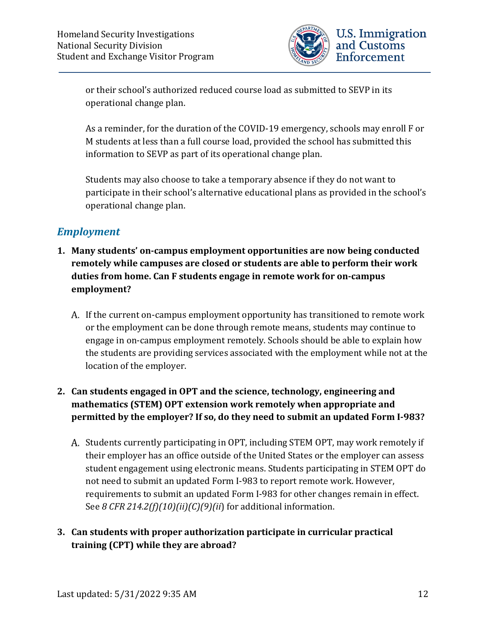

or their school's authorized reduced course load as submitted to SEVP in its operational change plan.

As a reminder, for the duration of the COVID-19 emergency, schools may enroll F or M students at less than a full course load, provided the school has submitted this information to SEVP as part of its operational change plan.

Students may also choose to take a temporary absence if they do not want to participate in their school's alternative educational plans as provided in the school's operational change plan.

# <span id="page-11-0"></span>*Employment*

- **1. Many students' on-campus employment opportunities are now being conducted remotely while campuses are closed or students are able to perform their work duties from home. Can F students engage in remote work for on-campus employment?**
	- If the current on-campus employment opportunity has transitioned to remote work or the employment can be done through remote means, students may continue to engage in on-campus employment remotely. Schools should be able to explain how the students are providing services associated with the employment while not at the location of the employer.

#### **2. Can students engaged in OPT and the science, technology, engineering and mathematics (STEM) OPT extension work remotely when appropriate and permitted by the employer? If so, do they need to submit an updated Form I-983?**

A. Students currently participating in OPT, including STEM OPT, may work remotely if their employer has an office outside of the United States or the employer can assess student engagement using electronic means. Students participating in STEM OPT do not need to submit an updated Form I-983 to report remote work. However, requirements to submit an updated Form I-983 for other changes remain in effect. See *8 CFR 214.2(f)(10)(ii)(C)(9)(ii*) for additional information.

#### **3. Can students with proper authorization participate in curricular practical training (CPT) while they are abroad?**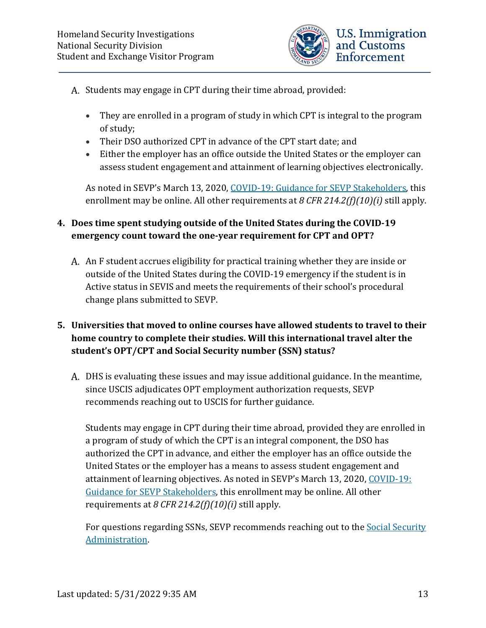

- A. Students may engage in CPT during their time abroad, provided:
	- They are enrolled in a program of study in which CPT is integral to the program of study;
	- Their DSO authorized CPT in advance of the CPT start date; and
	- Either the employer has an office outside the United States or the employer can assess student engagement and attainment of learning objectives electronically.

As noted in SEVP's March 13, 2020, [COVID-19: Guidance for SEVP Stakeholders,](https://www.ice.gov/sites/default/files/documents/Document/2020/Coronavirus%20Guidance_3.13.20.pdf) this enrollment may be online. All other requirements at *8 CFR 214.2(f)(10)(i)* still apply.

#### **4. Does time spent studying outside of the United States during the COVID-19 emergency count toward the one-year requirement for CPT and OPT?**

An F student accrues eligibility for practical training whether they are inside or outside of the United States during the COVID-19 emergency if the student is in Active status in SEVIS and meets the requirements of their school's procedural change plans submitted to SEVP.

## **5. Universities that moved to online courses have allowed students to travel to their home country to complete their studies. Will this international travel alter the student's OPT/CPT and Social Security number (SSN) status?**

DHS is evaluating these issues and may issue additional guidance. In the meantime, since USCIS adjudicates OPT employment authorization requests, SEVP recommends reaching out to USCIS for further guidance.

Students may engage in CPT during their time abroad, provided they are enrolled in a program of study of which the CPT is an integral component, the DSO has authorized the CPT in advance, and either the employer has an office outside the United States or the employer has a means to assess student engagement and attainment of learning objectives. As noted in SEVP's March 13, 2020, COVID-19: [Guidance for SEVP Stakeholders,](https://www.ice.gov/sites/default/files/documents/Document/2020/Coronavirus%20Guidance_3.13.20.pdf) this enrollment may be online. All other requirements at *8 CFR 214.2(f)(10)(i)* still apply.

For questions regarding SSNs, SEVP recommends reaching out to the [Social Security](https://www.ssa.gov/) [Administration.](https://www.ssa.gov/)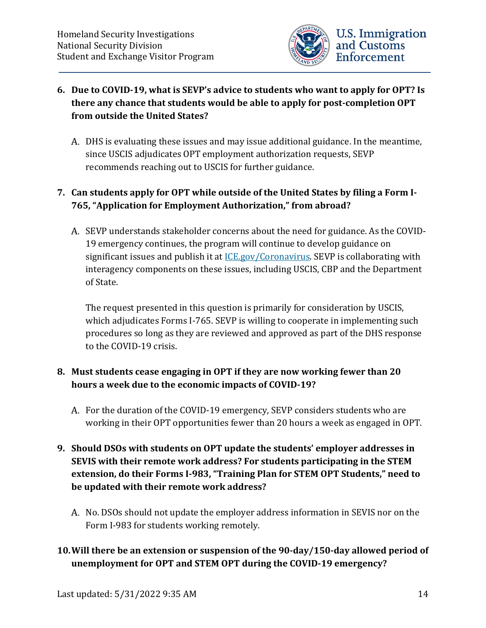

#### **6. Due to COVID-19, what is SEVP's advice to students who want to apply for OPT? Is there any chance that students would be able to apply for post-completion OPT from outside the United States?**

DHS is evaluating these issues and may issue additional guidance. In the meantime, since USCIS adjudicates OPT employment authorization requests, SEVP recommends reaching out to USCIS for further guidance.

# **7. Can students apply for OPT while outside of the United States by filing a Form I-765, "Application for Employment Authorization," from abroad?**

A. SEVP understands stakeholder concerns about the need for guidance. As the COVID-19 emergency continues, the program will continue to develop guidance on significant issues and publish it at *ICE.gov/Coronavirus*. SEVP is collaborating with interagency components on these issues, including USCIS, CBP and the Department of State.

The request presented in this question is primarily for consideration by USCIS, which adjudicates Forms I-765. SEVP is willing to cooperate in implementing such procedures so long as they are reviewed and approved as part of the DHS response to the COVID-19 crisis.

#### **8. Must students cease engaging in OPT if they are now working fewer than 20 hours a week due to the economic impacts of COVID-19?**

A. For the duration of the COVID-19 emergency, SEVP considers students who are working in their OPT opportunities fewer than 20 hours a week as engaged in OPT.

#### **9. Should DSOs with students on OPT update the students' employer addresses in SEVIS with their remote work address? For students participating in the STEM extension, do their Forms I-983, "Training Plan for STEM OPT Students," need to be updated with their remote work address?**

A. No. DSOs should not update the employer address information in SEVIS nor on the Form I-983 for students working remotely.

# **10.Will there be an extension or suspension of the 90-day/150-day allowed period of unemployment for OPT and STEM OPT during the COVID-19 emergency?**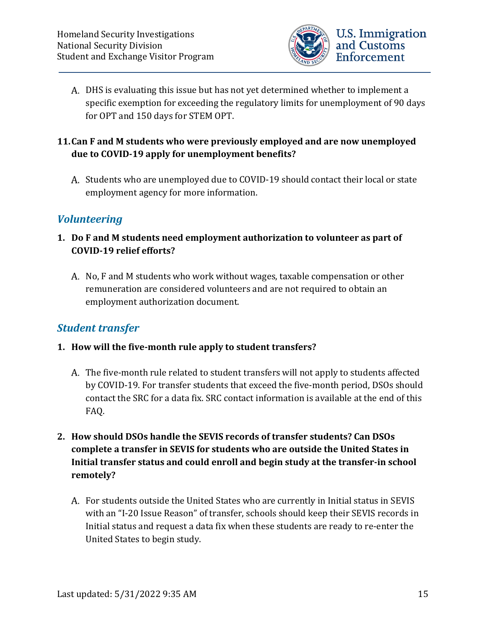

DHS is evaluating this issue but has not yet determined whether to implement a specific exemption for exceeding the regulatory limits for unemployment of 90 days for OPT and 150 days for STEM OPT.

#### **11.Can F and M students who were previously employed and are now unemployed due to COVID-19 apply for unemployment benefits?**

A. Students who are unemployed due to COVID-19 should contact their local or state employment agency for more information.

# <span id="page-14-0"></span>*Volunteering*

- **1. Do F and M students need employment authorization to volunteer as part of COVID-19 relief efforts?**
	- A. No, F and M students who work without wages, taxable compensation or other remuneration are considered volunteers and are not required to obtain an employment authorization document.

# <span id="page-14-1"></span>*Student transfer*

- **1. How will the five-month rule apply to student transfers?**
	- The five-month rule related to student transfers will not apply to students affected by COVID-19. For transfer students that exceed the five-month period, DSOs should contact the SRC for a data fix. SRC contact information is available at the end of this FAQ.
- **2. How should DSOs handle the SEVIS records of transfer students? Can DSOs complete a transfer in SEVIS for students who are outside the United States in Initial transfer status and could enroll and begin study at the transfer-in school remotely?**
	- For students outside the United States who are currently in Initial status in SEVIS with an "I-20 Issue Reason" of transfer, schools should keep their SEVIS records in Initial status and request a data fix when these students are ready to re-enter the United States to begin study.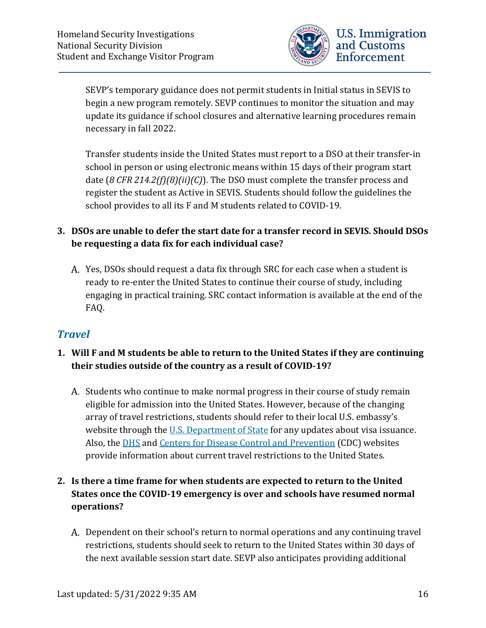

SEVP's temporary guidance does not permit students in Initial status in SEVIS to begin a new program remotely. SEVP continues to monitor the situation and may update its guidance if school closures and alternative learning procedures remain necessary in fall 2022.

Transfer students inside the United States must report to a DSO at their transfer-in school in person or using electronic means within 15 days of their program start date (*8 CFR 214.2(f)(8)(ii)(C)*). The DSO must complete the transfer process and register the student as Active in SEVIS. Students should follow the guidelines the school provides to all its F and M students related to COVID-19.

#### **3. DSOs are unable to defer the start date for a transfer record in SEVIS. Should DSOs be requesting a data fix for each individual case?**

Yes, DSOs should request a data fix through SRC for each case when a student is ready to re-enter the United States to continue their course of study, including engaging in practical training. SRC contact information is available at the end of the FAQ.

# <span id="page-15-0"></span>*Travel*

- **1. Will F and M students be able to return to the United States if they are continuing their studies outside of the country as a result of COVID-19?**
	- A. Students who continue to make normal progress in their course of study remain eligible for admission into the United States. However, because of the changing array of travel restrictions, students should refer to their local U.S. embassy's website through the [U.S. Department of State](https://travel.state.gov/content/travel/en/traveladvisories/ea/covid-19-information.html#_blank) for any updates about visa issuance. Also, the [DHS](https://www.dhs.gov/) and [Centers for Disease Control and Prevention](https://www.cdc.gov/coronavirus/2019-ncov/travelers/index.html) (CDC) websites provide information about current travel restrictions to the United States.

## **2. Is there a time frame for when students are expected to return to the United States once the COVID-19 emergency is over and schools have resumed normal operations?**

A. Dependent on their school's return to normal operations and any continuing travel restrictions, students should seek to return to the United States within 30 days of the next available session start date. SEVP also anticipates providing additional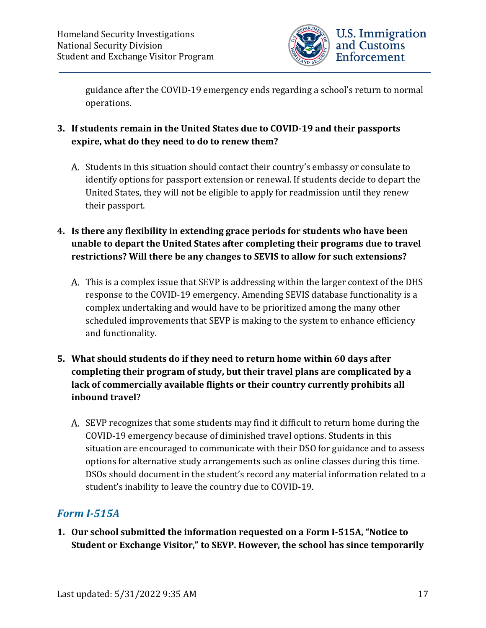

guidance after the COVID-19 emergency ends regarding a school's return to normal operations.

- **3. If students remain in the United States due to COVID-19 and their passports expire, what do they need to do to renew them?**
	- A. Students in this situation should contact their country's embassy or consulate to identify options for passport extension or renewal. If students decide to depart the United States, they will not be eligible to apply for readmission until they renew their passport.
- **4. Is there any flexibility in extending grace periods for students who have been unable to depart the United States after completing their programs due to travel restrictions? Will there be any changes to SEVIS to allow for such extensions?**
	- This is a complex issue that SEVP is addressing within the larger context of the DHS response to the COVID-19 emergency. Amending SEVIS database functionality is a complex undertaking and would have to be prioritized among the many other scheduled improvements that SEVP is making to the system to enhance efficiency and functionality.
- **5. What should students do if they need to return home within 60 days after completing their program of study, but their travel plans are complicated by a lack of commercially available flights or their country currently prohibits all inbound travel?**
	- A. SEVP recognizes that some students may find it difficult to return home during the COVID-19 emergency because of diminished travel options. Students in this situation are encouraged to communicate with their DSO for guidance and to assess options for alternative study arrangements such as online classes during this time. DSOs should document in the student's record any material information related to a student's inability to leave the country due to COVID-19.

# <span id="page-16-0"></span>*Form I-515A*

**1. Our school submitted the information requested on a Form I-515A, "Notice to Student or Exchange Visitor," to SEVP. However, the school has since temporarily**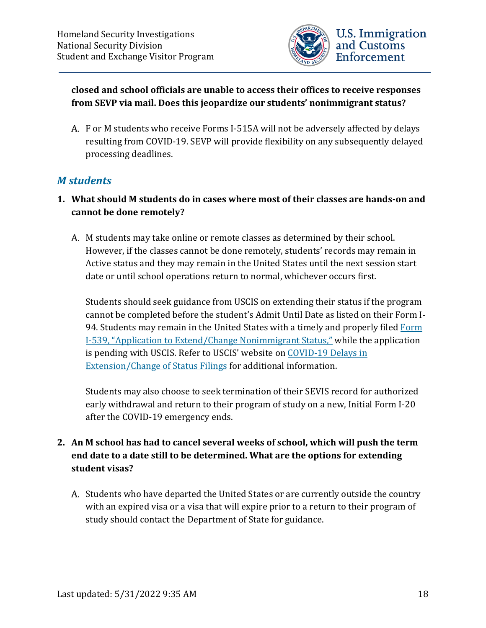

#### **closed and school officials are unable to access their offices to receive responses from SEVP via mail. Does this jeopardize our students' nonimmigrant status?**

F or M students who receive Forms I-515A will not be adversely affected by delays resulting from COVID-19. SEVP will provide flexibility on any subsequently delayed processing deadlines.

# <span id="page-17-0"></span>*M students*

- **1. What should M students do in cases where most of their classes are hands-on and cannot be done remotely?**
	- A. M students may take online or remote classes as determined by their school. However, if the classes cannot be done remotely, students' records may remain in Active status and they may remain in the United States until the next session start date or until school operations return to normal, whichever occurs first.

Students should seek guidance from USCIS on extending their status if the program cannot be completed before the student's Admit Until Date as listed on their Form I-94. Students may remain in the United States with a timely and properly file[d Form](https://www.uscis.gov/i-539)  [I-539, "Application to Extend/Change Nonimmigrant Status,"](https://www.uscis.gov/i-539) while the application is pending with USCIS. Refer to USCIS' website on COVID-19 Delays in [Extension/Change of Status Filings](https://www.uscis.gov/news/alerts/covid-19-delays-extensionchange-status-filings) for additional information.

Students may also choose to seek termination of their SEVIS record for authorized early withdrawal and return to their program of study on a new, Initial Form I-20 after the COVID-19 emergency ends.

#### **2. An M school has had to cancel several weeks of school, which will push the term end date to a date still to be determined. What are the options for extending student visas?**

A. Students who have departed the United States or are currently outside the country with an expired visa or a visa that will expire prior to a return to their program of study should contact the Department of State for guidance.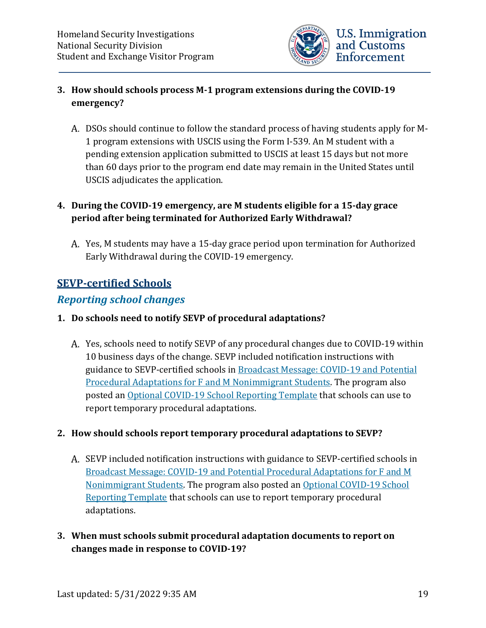

#### **3. How should schools process M-1 program extensions during the COVID-19 emergency?**

DSOs should continue to follow the standard process of having students apply for M-1 program extensions with USCIS using the Form I-539. An M student with a pending extension application submitted to USCIS at least 15 days but not more than 60 days prior to the program end date may remain in the United States until USCIS adjudicates the application.

#### **4. During the COVID-19 emergency, are M students eligible for a 15-day grace period after being terminated for Authorized Early Withdrawal?**

Yes, M students may have a 15-day grace period upon termination for Authorized Early Withdrawal during the COVID-19 emergency.

# <span id="page-18-0"></span>**SEVP-certified Schools**

# <span id="page-18-1"></span>*Reporting school changes*

#### **1. Do schools need to notify SEVP of procedural adaptations?**

Yes, schools need to notify SEVP of any procedural changes due to COVID-19 within 10 business days of the change. SEVP included notification instructions with guidance to SEVP-certified schools in [Broadcast Message: COVID-19 and Potential](https://www.ice.gov/doclib/sevis/pdf/bcm2003-01.pdf)  [Procedural Adaptations for F and M Nonimmigrant Students.](https://www.ice.gov/doclib/sevis/pdf/bcm2003-01.pdf) The program also posted an Optional COVID-19 [School Reporting Template](https://www.ice.gov/doclib/sevis/pdf/coronavirusSEVP_ReportingTemplate.pdf) that schools can use to report temporary procedural adaptations.

#### **2. How should schools report temporary procedural adaptations to SEVP?**

- A. SEVP included notification instructions with guidance to SEVP-certified schools in [Broadcast Message: COVID-19 and Potential Procedural Adaptations for F and M](https://www.ice.gov/doclib/sevis/pdf/bcm2003-01.pdf)  [Nonimmigrant Students.](https://www.ice.gov/doclib/sevis/pdf/bcm2003-01.pdf) The program also posted a[n Optional COVID-19 School](https://www.ice.gov/doclib/sevis/pdf/coronavirusSEVP_ReportingTemplate.pdf)  [Reporting Template](https://www.ice.gov/doclib/sevis/pdf/coronavirusSEVP_ReportingTemplate.pdf) that schools can use to report temporary procedural adaptations.
- **3. When must schools submit procedural adaptation documents to report on changes made in response to COVID-19?**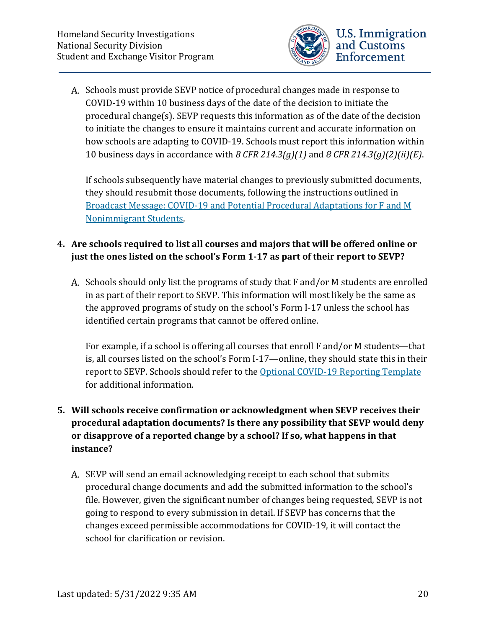

A. Schools must provide SEVP notice of procedural changes made in response to COVID-19 within 10 business days of the date of the decision to initiate the procedural change(s). SEVP requests this information as of the date of the decision to initiate the changes to ensure it maintains current and accurate information on how schools are adapting to COVID-19. Schools must report this information within 10 business days in accordance with *8 CFR 214.3(g)(1)* and *8 CFR 214.3(g)(2)(ii)(E)*.

If schools subsequently have material changes to previously submitted documents, they should resubmit those documents, following the instructions outlined in [Broadcast Message: COVID-19 and Potential Procedural Adaptations for F and M](https://www.ice.gov/doclib/sevis/pdf/bcm2003-01.pdf)  [Nonimmigrant Students.](https://www.ice.gov/doclib/sevis/pdf/bcm2003-01.pdf)

# **4. Are schools required to list all courses and majors that will be offered online or just the ones listed on the school's Form 1-17 as part of their report to SEVP?**

A. Schools should only list the programs of study that F and/or M students are enrolled in as part of their report to SEVP. This information will most likely be the same as the approved programs of study on the school's Form I-17 unless the school has identified certain programs that cannot be offered online.

For example, if a school is offering all courses that enroll F and/or M students—that is, all courses listed on the school's Form I-17—online, they should state this in their report to SEVP. Schools should refer to the [Optional COVID-19 Reporting Template](https://www.ice.gov/doclib/sevis/pdf/coronavirusSEVP_ReportingTemplate.pdf) for additional information.

# **5. Will schools receive confirmation or acknowledgment when SEVP receives their procedural adaptation documents? Is there any possibility that SEVP would deny or disapprove of a reported change by a school? If so, what happens in that instance?**

A. SEVP will send an email acknowledging receipt to each school that submits procedural change documents and add the submitted information to the school's file. However, given the significant number of changes being requested, SEVP is not going to respond to every submission in detail. If SEVP has concerns that the changes exceed permissible accommodations for COVID-19, it will contact the school for clarification or revision.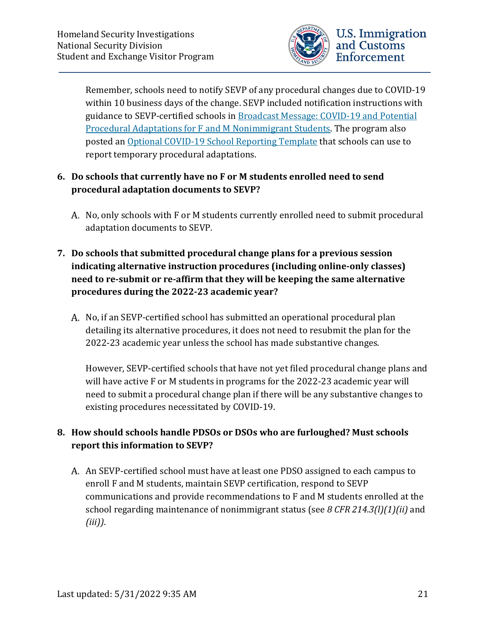

Remember, schools need to notify SEVP of any procedural changes due to COVID-19 within 10 business days of the change. SEVP included notification instructions with guidance to SEVP-certified schools in [Broadcast Message: COVID-19 and Potential](https://www.ice.gov/doclib/sevis/pdf/bcm2003-01.pdf)  [Procedural Adaptations for F and M Nonimmigrant Students.](https://www.ice.gov/doclib/sevis/pdf/bcm2003-01.pdf) The program also posted an Optional COVID-19 [School Reporting Template](https://www.ice.gov/doclib/sevis/pdf/coronavirusSEVP_ReportingTemplate.pdf) that schools can use to report temporary procedural adaptations.

#### **6. Do schools that currently have no F or M students enrolled need to send procedural adaptation documents to SEVP?**

A. No, only schools with F or M students currently enrolled need to submit procedural adaptation documents to SEVP.

# **7. Do schools that submitted procedural change plans for a previous session indicating alternative instruction procedures (including online-only classes) need to re-submit or re-affirm that they will be keeping the same alternative procedures during the 2022-23 academic year?**

A. No, if an SEVP-certified school has submitted an operational procedural plan detailing its alternative procedures, it does not need to resubmit the plan for the 2022-23 academic year unless the school has made substantive changes.

However, SEVP-certified schools that have not yet filed procedural change plans and will have active F or M students in programs for the 2022-23 academic year will need to submit a procedural change plan if there will be any substantive changes to existing procedures necessitated by COVID-19.

#### **8. How should schools handle PDSOs or DSOs who are furloughed? Must schools report this information to SEVP?**

An SEVP-certified school must have at least one PDSO assigned to each campus to enroll F and M students, maintain SEVP certification, respond to SEVP communications and provide recommendations to F and M students enrolled at the school regarding maintenance of nonimmigrant status (see *8 CFR 214.3(l)(1)(ii)* and *(iii))*.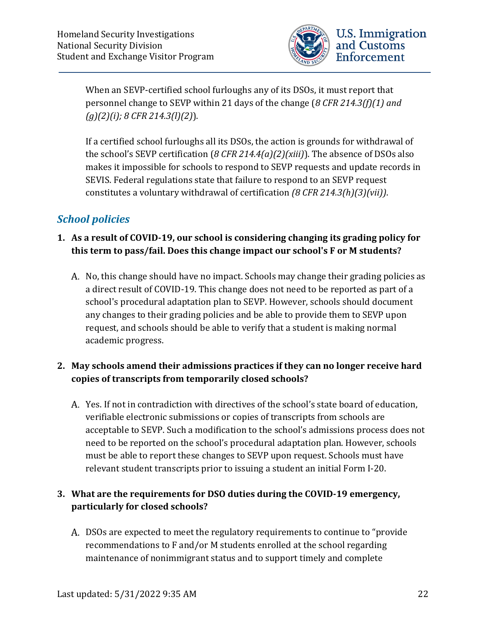

When an SEVP-certified school furloughs any of its DSOs, it must report that personnel change to SEVP within 21 days of the change (*8 CFR 214.3(f)(1) and (g)(2)(i); 8 CFR 214.3(l)(2)*).

If a certified school furloughs all its DSOs, the action is grounds for withdrawal of the school's SEVP certification (*8 CFR 214.4(a)(2)(xiii)*). The absence of DSOs also makes it impossible for schools to respond to SEVP requests and update records in SEVIS. Federal regulations state that failure to respond to an SEVP request constitutes a voluntary withdrawal of certification *(8 CFR 214.3(h)(3)(vii))*.

# <span id="page-21-0"></span>*School policies*

#### **1. As a result of COVID-19, our school is considering changing its grading policy for this term to pass/fail. Does this change impact our school's F or M students?**

A. No, this change should have no impact. Schools may change their grading policies as a direct result of COVID-19. This change does not need to be reported as part of a school's procedural adaptation plan to SEVP. However, schools should document any changes to their grading policies and be able to provide them to SEVP upon request, and schools should be able to verify that a student is making normal academic progress.

#### **2. May schools amend their admissions practices if they can no longer receive hard copies of transcripts from temporarily closed schools?**

Yes. If not in contradiction with directives of the school's state board of education, verifiable electronic submissions or copies of transcripts from schools are acceptable to SEVP. Such a modification to the school's admissions process does not need to be reported on the school's procedural adaptation plan. However, schools must be able to report these changes to SEVP upon request. Schools must have relevant student transcripts prior to issuing a student an initial Form I-20.

#### **3. What are the requirements for DSO duties during the COVID-19 emergency, particularly for closed schools?**

DSOs are expected to meet the regulatory requirements to continue to "provide recommendations to F and/or M students enrolled at the school regarding maintenance of nonimmigrant status and to support timely and complete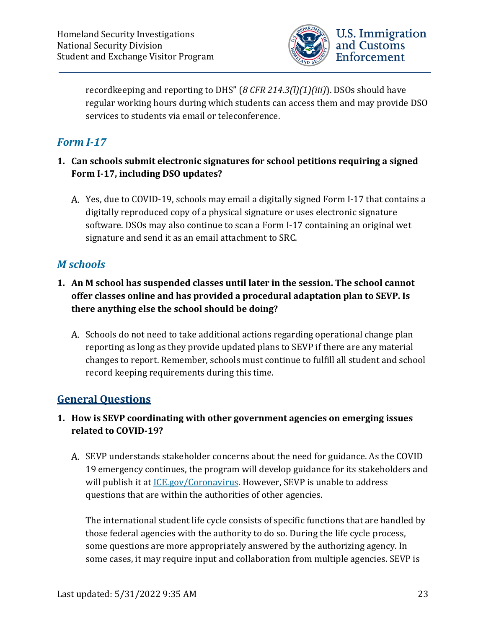

recordkeeping and reporting to DHS" (*8 CFR 214.3(l)(1)(iii)*). DSOs should have regular working hours during which students can access them and may provide DSO services to students via email or teleconference.

# <span id="page-22-0"></span>*Form I-17*

- **1. Can schools submit electronic signatures for school petitions requiring a signed Form I-17, including DSO updates?**
	- Yes, due to COVID-19, schools may email a digitally signed Form I-17 that contains a digitally reproduced copy of a physical signature or uses electronic signature software. DSOs may also continue to scan a Form I-17 containing an original wet signature and send it as an email attachment to SRC.

# <span id="page-22-1"></span>*M schools*

- **1. An M school has suspended classes until later in the session. The school cannot offer classes online and has provided a procedural adaptation plan to SEVP. Is there anything else the school should be doing?** 
	- A. Schools do not need to take additional actions regarding operational change plan reporting as long as they provide updated plans to SEVP if there are any material changes to report. Remember, schools must continue to fulfill all student and school record keeping requirements during this time.

# <span id="page-22-2"></span>**General Questions**

# **1. How is SEVP coordinating with other government agencies on emerging issues related to COVID-19?**

A. SEVP understands stakeholder concerns about the need for guidance. As the COVID 19 emergency continues, the program will develop guidance for its stakeholders and will publish it at [ICE.gov/Coronavirus.](https://www.ice.gov/coronavirus) However, SEVP is unable to address questions that are within the authorities of other agencies.

The international student life cycle consists of specific functions that are handled by those federal agencies with the authority to do so. During the life cycle process, some questions are more appropriately answered by the authorizing agency. In some cases, it may require input and collaboration from multiple agencies. SEVP is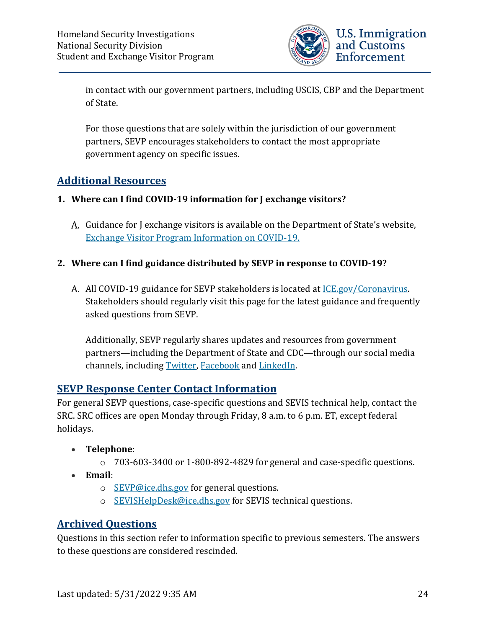

in contact with our government partners, including USCIS, CBP and the Department of State.

For those questions that are solely within the jurisdiction of our government partners, SEVP encourages stakeholders to contact the most appropriate government agency on specific issues.

# <span id="page-23-0"></span>**Additional Resources**

#### **1. Where can I find COVID-19 information for J exchange visitors?**

A. Guidance for J exchange visitors is available on the Department of State's website, [Exchange Visitor Program Information on COVID-19.](https://j1visa.state.gov/covid-19/)

#### **2. Where can I find guidance distributed by SEVP in response to COVID-19?**

All COVID-19 guidance for SEVP stakeholders is located at [ICE.gov/Coronavirus.](https://www.ice.gov/coronavirus) Stakeholders should regularly visit this page for the latest guidance and frequently asked questions from SEVP.

Additionally, SEVP regularly shares updates and resources from government partners—including the Department of State and CDC—through our social media channels, including [Twitter,](https://twitter.com/StudyinStates) [Facebook](https://www.facebook.com/StudyintheStates/) and [LinkedIn.](https://www.linkedin.com/company/student-and-exchange-visitor-program)

# <span id="page-23-1"></span>**SEVP Response Center Contact Information**

For general SEVP questions, case-specific questions and SEVIS technical help, contact the SRC. SRC offices are open Monday through Friday, 8 a.m. to 6 p.m. ET, except federal holidays.

- **Telephone**:
	- o 703-603-3400 or 1-800-892-4829 for general and case-specific questions.
- **Email**:
	- $\circ$  [SEVP@ice.dhs.gov](mailto:SEVP@ice.dhs.gov) for general questions.
	- o [SEVISHelpDesk@ice.dhs.gov](mailto:SEVISHelpDesk@ice.dhs.gov) for SEVIS technical questions.

# <span id="page-23-2"></span>**Archived Questions**

Questions in this section refer to information specific to previous semesters. The answers to these questions are considered rescinded.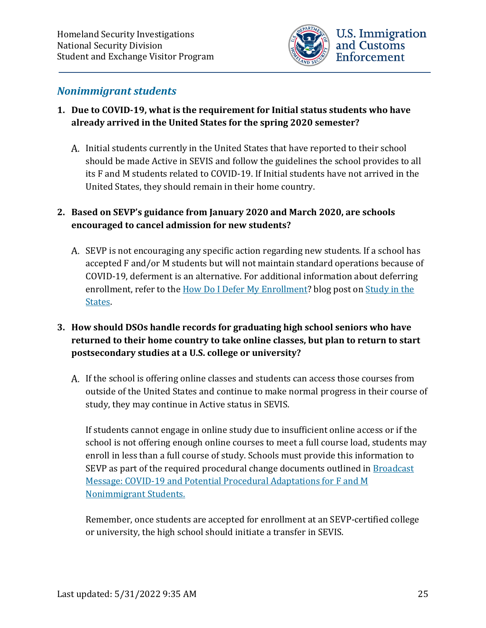

#### <span id="page-24-0"></span>*Nonimmigrant students*

#### **1. Due to COVID-19, what is the requirement for Initial status students who have already arrived in the United States for the spring 2020 semester?**

A. Initial students currently in the United States that have reported to their school should be made Active in SEVIS and follow the guidelines the school provides to all its F and M students related to COVID-19. If Initial students have not arrived in the United States, they should remain in their home country.

#### **2. Based on SEVP's guidance from January 2020 and March 2020, are schools encouraged to cancel admission for new students?**

- A. SEVP is not encouraging any specific action regarding new students. If a school has accepted F and/or M students but will not maintain standard operations because of COVID-19, deferment is an alternative. For additional information about deferring enrollment, refer to the [How Do I Defer My Enrollment?](https://studyinthestates.dhs.gov/2015/02/how-do-i-defer-my-enrollment) blog post on Study in the [States.](https://studyinthestates.dhs.gov/)
- **3. How should DSOs handle records for graduating high school seniors who have returned to their home country to take online classes, but plan to return to start postsecondary studies at a U.S. college or university?** 
	- If the school is offering online classes and students can access those courses from outside of the United States and continue to make normal progress in their course of study, they may continue in Active status in SEVIS.

If students cannot engage in online study due to insufficient online access or if the school is not offering enough online courses to meet a full course load, students may enroll in less than a full course of study. Schools must provide this information to SEVP as part of the required procedural change documents outlined in Broadcast [Message: COVID-19 and Potential Procedural Adaptations for F and M](https://www.ice.gov/doclib/sevis/pdf/bcm2003-01.pdf)  [Nonimmigrant Students.](https://www.ice.gov/doclib/sevis/pdf/bcm2003-01.pdf)

Remember, once students are accepted for enrollment at an SEVP-certified college or university, the high school should initiate a transfer in SEVIS.